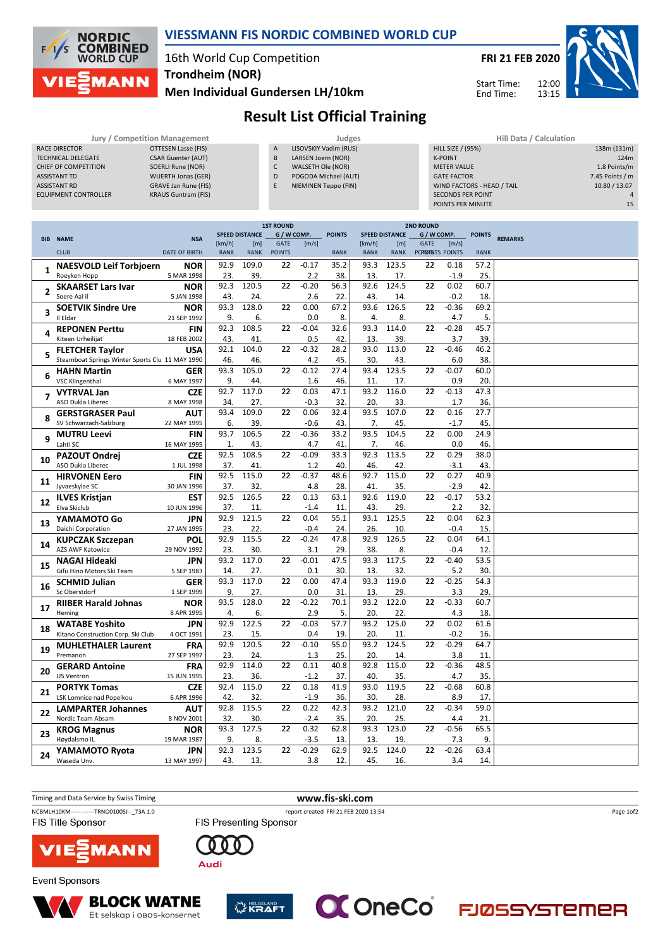

## **VIESSMANN FIS NORDIC COMBINED WORLD CUP**

## 16th World Cup Competition **Trondheim (NOR)**

**Men Individual Gundersen LH/10km**



12:00 13:15 Start Time: End Time:



## **Result List Official Training**

|                             | Jury / Competition Management |                | Judges                | Hill Data / Calculation    |                 |
|-----------------------------|-------------------------------|----------------|-----------------------|----------------------------|-----------------|
| RACE DIRECTOR               | OTTESEN Lasse (FIS)           | $\overline{A}$ | LISOVSKIY Vadim (RUS) | <b>HILL SIZE / (95%)</b>   | 138m (131m)     |
| <b>TECHNICAL DELEGATE</b>   | <b>CSAR Guenter (AUT)</b>     | B              | LARSEN Joern (NOR)    | <b>K-POINT</b>             | 124m            |
| CHIEF OF COMPETITION        | SOERLI Rune (NOR)             | C              | WALSETH Ole (NOR)     | <b>METER VALUE</b>         | 1.8 Points/m    |
| ASSISTANT TD                | <b>WUERTH Jonas (GER)</b>     | D              | POGODA Michael (AUT)  | <b>GATE FACTOR</b>         | 7.45 Points / m |
| <b>ASSISTANT RD</b>         | GRAVE Jan Rune (FIS)          |                | NIEMINEN Teppo (FIN)  | WIND FACTORS - HEAD / TAIL | 10.80 / 13.07   |
| <b>EQUIPMENT CONTROLLER</b> | <b>KRAUS Guntram (FIS)</b>    |                |                       | <b>SECONDS PER POINT</b>   |                 |
|                             |                               |                |                       | POINTS PER MINUTE          | 15              |

|              |                                                 |                      |              |                       | <b>1ST ROUND</b> |         |               |             | <b>2ND ROUND</b>      |                |         |               |                |
|--------------|-------------------------------------------------|----------------------|--------------|-----------------------|------------------|---------|---------------|-------------|-----------------------|----------------|---------|---------------|----------------|
|              | <b>BIB NAME</b>                                 | <b>NSA</b>           |              | <b>SPEED DISTANCE</b> | G / W COMP.      |         | <b>POINTS</b> |             | <b>SPEED DISTANCE</b> | G / W COMP.    |         | <b>POINTS</b> | <b>REMARKS</b> |
|              |                                                 |                      | [km/h]       | [m]                   | <b>GATE</b>      | [m/s]   |               | [km/h]      | [m]                   | <b>GATE</b>    | [m/s]   |               |                |
|              | <b>CLUB</b>                                     | <b>DATE OF BIRTH</b> | <b>RANK</b>  | <b>RANK</b>           | <b>POINTS</b>    |         | <b>RANK</b>   | <b>RANK</b> | RANK                  | PORINTS POINTS |         | <b>RANK</b>   |                |
|              | <b>NAESVOLD Leif Torbjoern</b>                  | <b>NOR</b>           | 92.9         | 109.0                 | 22               | $-0.17$ | 35.2          | 93.3        | 123.5                 | 22             | 0.18    | 57.2          |                |
| $\mathbf{1}$ | Roeyken Hopp                                    | 5 MAR 1998           | 23.          | 39.                   |                  | 2.2     | 38.           | 13.         | 17.                   |                | $-1.9$  | 25.           |                |
|              |                                                 |                      | 92.3         | 120.5                 | 22               | $-0.20$ | 56.3          | 92.6        | 124.5                 | 22             | 0.02    |               |                |
| 2            | <b>SKAARSET Lars Ivar</b>                       | <b>NOR</b>           |              |                       |                  |         |               |             |                       |                |         | 60.7          |                |
|              | Soere Aal il                                    | 5 JAN 1998           | 43.          | 24.                   |                  | 2.6     | 22.           | 43.         | 14.                   |                | $-0.2$  | 18.           |                |
| 3            | <b>SOETVIK Sindre Ure</b>                       | <b>NOR</b>           | 93.3         | 128.0                 | 22               | 0.00    | 67.2          | 93.6        | 126.5                 | 22             | $-0.36$ | 69.2          |                |
|              | Il Eldar                                        | 21 SEP 1992          | 9.           | 6.                    |                  | 0.0     | 8.            | 4.          | 8.                    |                | 4.7     | 5.            |                |
|              | <b>REPONEN Perttu</b>                           | <b>FIN</b>           | 92.3         | 108.5                 | 22               | $-0.04$ | 32.6          | 93.3        | 114.0                 | 22             | $-0.28$ | 45.7          |                |
| 4            | Kiteen Urheilijat                               | 18 FEB 2002          | 43.          | 41                    |                  | 0.5     | 42.           | 13.         | 39.                   |                | 3.7     | 39.           |                |
|              |                                                 |                      |              |                       |                  |         |               |             |                       |                |         |               |                |
| 5            | <b>FLETCHER Taylor</b>                          | <b>USA</b>           | 92.1         | 104.0                 | 22               | $-0.32$ | 28.2          | 93.0        | 113.0                 | 22             | $-0.46$ | 46.2          |                |
|              | Steamboat Springs Winter Sports Clu 11 MAY 1990 |                      | 46.          | 46                    |                  | 4.2     | 45.           | 30.         | 43.                   |                | 6.0     | 38.           |                |
|              | <b>HAHN Martin</b>                              | GER                  | 93.3         | 105.0                 | 22               | $-0.12$ | 27.4          | 93.4        | 123.5                 | 22             | $-0.07$ | 60.0          |                |
| 6            | <b>VSC Klingenthal</b>                          | 6 MAY 1997           | 9.           | 44.                   |                  | 1.6     | 46.           | 11.         | 17.                   |                | 0.9     | 20.           |                |
|              | <b>VYTRVAL Jan</b>                              | <b>CZE</b>           | 92.7         | 117.0                 | 22               | 0.03    | 47.1          | 93.2        | 116.0                 | 22             | $-0.13$ | 47.3          |                |
| 7            | ASO Dukla Liberec                               | 8 MAY 1998           | 34.          | 27.                   |                  | $-0.3$  | 32.           | 20.         | 33.                   |                | 1.7     | 36.           |                |
|              |                                                 |                      | 93.4         | 109.0                 | 22               | 0.06    |               | 93.5        | 107.0                 | 22             | 0.16    |               |                |
|              | <b>GERSTGRASER Paul</b>                         | <b>AUT</b>           |              |                       |                  |         | 32.4          |             |                       |                |         | 27.7          |                |
|              | SV Schwarzach-Salzburg                          | 22 MAY 1995          | 6.           | 39                    |                  | $-0.6$  | 43.           | 7.          | 45.                   |                | $-1.7$  | 45.           |                |
| 9            | <b>MUTRU Leevi</b>                              | <b>FIN</b>           | 93.7         | 106.5                 | 22               | $-0.36$ | 33.2          | 93.5        | 104.5                 | 22             | 0.00    | 24.9          |                |
|              | Lahti SC                                        | 16 MAY 1995          | $\mathbf{1}$ | 43.                   |                  | 4.7     | 41.           | 7.          | 46.                   |                | 0.0     | 46.           |                |
|              | <b>PAZOUT Ondrei</b>                            | <b>CZE</b>           | 92.5         | 108.5                 | 22               | $-0.09$ | 33.3          | 92.3        | 113.5                 | 22             | 0.29    | 38.0          |                |
| 10           | ASO Dukla Liberec                               | 1 JUL 1998           | 37.          | 41                    |                  | 1.2     | 40.           | 46.         | 42.                   |                | $-3.1$  | 43.           |                |
|              |                                                 |                      | 92.5         | 115.0                 | 22               | $-0.37$ | 48.6          | 92.7        | 115.0                 | 22             | 0.27    | 40.9          |                |
| 11           | <b>HIRVONEN Eero</b>                            | <b>FIN</b>           |              |                       |                  |         |               |             |                       |                |         |               |                |
|              | Jyvaeskylae SC                                  | 30 JAN 1996          | 37.          | 32.                   |                  | 4.8     | 28.           | 41.         | 35.                   |                | $-2.9$  | 42.           |                |
| 12           | <b>ILVES Kristjan</b>                           | <b>EST</b>           | 92.5         | 126.5                 | 22               | 0.13    | 63.1          | 92.6        | 119.0                 | 22             | $-0.17$ | 53.2          |                |
|              | Elva Skiclub                                    | 10 JUN 1996          | 37.          | 11                    |                  | $-1.4$  | 11.           | 43.         | 29.                   |                | 2.2     | 32.           |                |
|              | YAMAMOTO Go                                     | <b>JPN</b>           | 92.9         | 121.5                 | 22               | 0.04    | 55.1          | 93.1        | 125.5                 | 22             | 0.04    | 62.3          |                |
| 13           | Daichi Corporation                              | 27 JAN 1995          | 23.          | 22.                   |                  | $-0.4$  | 24.           | 26.         | 10.                   |                | $-0.4$  | 15.           |                |
|              |                                                 |                      | 92.9         | 115.5                 | 22               | $-0.24$ | 47.8          | 92.9        | 126.5                 | 22             | 0.04    | 64.1          |                |
| 14           | <b>KUPCZAK Szczepan</b>                         | <b>POL</b>           |              |                       |                  |         |               |             |                       |                |         |               |                |
|              | <b>AZS AWF Katowice</b>                         | 29 NOV 1992          | 23.          | 30                    |                  | 3.1     | 29.           | 38.         | 8.                    |                | $-0.4$  | 12.           |                |
| 15           | <b>NAGAI Hideaki</b>                            | <b>JPN</b>           | 93.2         | 117.0                 | 22               | $-0.01$ | 47.5          | 93.3        | 117.5                 | 22             | $-0.40$ | 53.5          |                |
|              | Gifu Hino Motors Ski Team                       | 5 SEP 1983           | 14.          | 27.                   |                  | 0.1     | 30.           | 13.         | 32.                   |                | 5.2     | 30.           |                |
|              | <b>SCHMID Julian</b>                            | <b>GER</b>           | 93.3         | 117.0                 | 22               | 0.00    | 47.4          | 93.3        | 119.0                 | 22             | $-0.25$ | 54.3          |                |
| 16           | Sc Oberstdorf                                   | 1 SEP 1999           | 9.           | 27.                   |                  | 0.0     | 31.           | 13.         | 29.                   |                | 3.3     | 29.           |                |
|              | <b>RIIBER Harald Johnas</b>                     |                      | 93.5         | 128.0                 | 22               | $-0.22$ | 70.1          | 93.2        | 122.0                 | 22             | $-0.33$ | 60.7          |                |
| 17           |                                                 | NOR                  |              |                       |                  |         |               |             |                       |                |         |               |                |
|              | Heming                                          | 8 APR 1995           | 4.           | 6.                    |                  | 2.9     | 5.            | 20.         | 22.                   |                | 4.3     | 18.           |                |
| 18           | <b>WATABE Yoshito</b>                           | <b>JPN</b>           | 92.9         | 122.5                 | 22               | $-0.03$ | 57.7          | 93.2        | 125.0                 | 22             | 0.02    | 61.6          |                |
|              | Kitano Construction Corp. Ski Club              | 4 OCT 1991           | 23.          | 15                    |                  | 0.4     | 19.           | 20.         | 11.                   |                | $-0.2$  | 16.           |                |
|              | <b>MUHLETHALER Laurent</b>                      | <b>FRA</b>           | 92.9         | 120.5                 | 22               | $-0.10$ | 55.0          | 93.2        | 124.5                 | 22             | $-0.29$ | 64.7          |                |
| 19           | Premanon                                        | 27 SEP 1997          | 23.          | 24.                   |                  | 1.3     | 25.           | 20.         | 14.                   |                | 3.8     | 11.           |                |
|              | <b>GERARD Antoine</b>                           | <b>FRA</b>           | 92.9         | 114.0                 | 22               | 0.11    | 40.8          | 92.8        | 115.0                 | 22             | $-0.36$ | 48.5          |                |
| 20           | <b>US Ventron</b>                               | 15 JUN 1995          | 23.          | 36.                   |                  | $-1.2$  | 37.           | 40.         | 35.                   |                | 4.7     | 35.           |                |
|              |                                                 |                      |              |                       |                  |         |               |             |                       |                |         |               |                |
| 21           | <b>PORTYK Tomas</b>                             | <b>CZE</b>           | 92.4         | 115.0                 | 22               | 0.18    | 41.9          | 93.0        | 119.5                 | 22             | $-0.68$ | 60.8          |                |
|              | LSK Lomnice nad Popelkou                        | 6 APR 1996           | 42.          | 32                    |                  | $-1.9$  | 36.           | 30.         | 28.                   |                | 8.9     | 17.           |                |
|              | <b>LAMPARTER Johannes</b>                       | AUT                  | 92.8         | 115.5                 | 22               | 0.22    | 42.3          | 93.2        | $\overline{1}21.0$    | 22             | $-0.34$ | 59.0          |                |
| 22           | Nordic Team Absam                               | 8 NOV 2001           | 32.          | 30.                   |                  | $-2.4$  | 35.           | 20.         | 25.                   |                | 4.4     | 21.           |                |
|              |                                                 | <b>NOR</b>           | 93.3         | 127.5                 | 22               | 0.32    | 62.8          | 93.3        | 123.0                 | 22             | $-0.56$ | 65.5          |                |
| 23           | <b>KROG Magnus</b>                              |                      |              |                       |                  |         |               |             |                       |                |         |               |                |
|              | Høydalsmo IL                                    | 19 MAR 1987          | 9.           | 8.                    |                  | $-3.5$  | 13.           | 13.         | 19.                   |                | 7.3     | 9.            |                |
| 24           | YAMAMOTO Ryota                                  | <b>JPN</b>           | 92.3         | 123.5                 | 22               | $-0.29$ | 62.9          | 92.5        | 124.0                 | 22             | $-0.26$ | 63.4          |                |
|              | Waseda Unv.                                     | 13 MAY 1997          | 43.          | 13.                   |                  | 3.8     | 12.           | 45.         | 16.                   |                | 3.4     | 14.           |                |